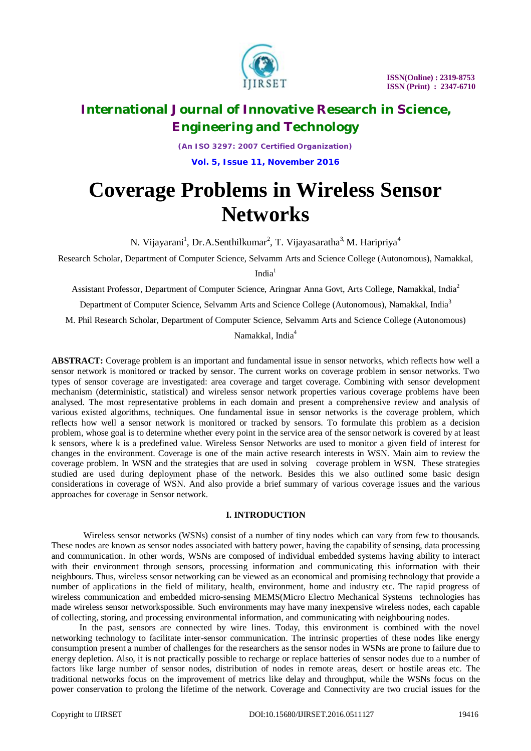

*(An ISO 3297: 2007 Certified Organization)* **Vol. 5, Issue 11, November 2016**

# **Coverage Problems in Wireless Sensor Networks**

N. Vijayarani<sup>1</sup>, Dr.A.Senthilkumar<sup>2</sup>, T. Vijayasaratha<sup>3,</sup> M. Haripriya<sup>4</sup>

Research Scholar, Department of Computer Science, Selvamm Arts and Science College (Autonomous), Namakkal,

India $1$ 

Assistant Professor, Department of Computer Science, Aringnar Anna Govt, Arts College, Namakkal, India<sup>2</sup>

Department of Computer Science, Selvamm Arts and Science College (Autonomous), Namakkal, India<sup>3</sup>

M. Phil Research Scholar, Department of Computer Science, Selvamm Arts and Science College (Autonomous)

# Namakkal, India<sup>4</sup>

**ABSTRACT:** Coverage problem is an important and fundamental issue in sensor networks, which reflects how well a sensor network is monitored or tracked by sensor. The current works on coverage problem in sensor networks. Two types of sensor coverage are investigated: area coverage and target coverage. Combining with sensor development mechanism (deterministic, statistical) and wireless sensor network properties various coverage problems have been analysed. The most representative problems in each domain and present a comprehensive review and analysis of various existed algorithms, techniques. One fundamental issue in sensor networks is the coverage problem, which reflects how well a sensor network is monitored or tracked by sensors. To formulate this problem as a decision problem, whose goal is to determine whether every point in the service area of the sensor network is covered by at least k sensors, where k is a predefined value. Wireless Sensor Networks are used to monitor a given field of interest for changes in the environment. Coverage is one of the main active research interests in WSN. Main aim to review the coverage problem. In WSN and the strategies that are used in solving coverage problem in WSN. These strategies studied are used during deployment phase of the network. Besides this we also outlined some basic design considerations in coverage of WSN. And also provide a brief summary of various coverage issues and the various approaches for coverage in Sensor network.

# **I. INTRODUCTION**

Wireless sensor networks (WSNs) consist of a number of tiny nodes which can vary from few to thousands. These nodes are known as sensor nodes associated with battery power, having the capability of sensing, data processing and communication. In other words, WSNs are composed of individual embedded systems having ability to interact with their environment through sensors, processing information and communicating this information with their neighbours. Thus, wireless sensor networking can be viewed as an economical and promising technology that provide a number of applications in the field of military, health, environment, home and industry etc. The rapid progress of wireless communication and embedded micro-sensing MEMS(Micro Electro Mechanical Systems technologies has made wireless sensor networkspossible. Such environments may have many inexpensive wireless nodes, each capable of collecting, storing, and processing environmental information, and communicating with neighbouring nodes.

In the past, sensors are connected by wire lines. Today, this environment is combined with the novel networking technology to facilitate inter-sensor communication. The intrinsic properties of these nodes like energy consumption present a number of challenges for the researchers as the sensor nodes in WSNs are prone to failure due to energy depletion. Also, it is not practically possible to recharge or replace batteries of sensor nodes due to a number of factors like large number of sensor nodes, distribution of nodes in remote areas, desert or hostile areas etc. The traditional networks focus on the improvement of metrics like delay and throughput, while the WSNs focus on the power conservation to prolong the lifetime of the network. Coverage and Connectivity are two crucial issues for the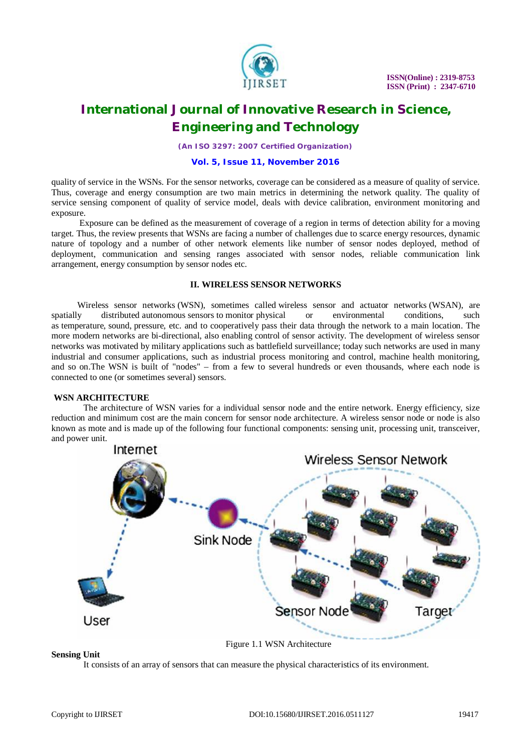

*(An ISO 3297: 2007 Certified Organization)*

# **Vol. 5, Issue 11, November 2016**

quality of service in the WSNs. For the sensor networks, coverage can be considered as a measure of quality of service. Thus, coverage and energy consumption are two main metrics in determining the network quality. The quality of service sensing component of quality of service model, deals with device calibration, environment monitoring and exposure.

Exposure can be defined as the measurement of coverage of a region in terms of detection ability for a moving target. Thus, the review presents that WSNs are facing a number of challenges due to scarce energy resources, dynamic nature of topology and a number of other network elements like number of sensor nodes deployed, method of deployment, communication and sensing ranges associated with sensor nodes, reliable communication link arrangement, energy consumption by sensor nodes etc.

#### **II. WIRELESS SENSOR NETWORKS**

Wireless sensor networks (WSN), sometimes called wireless sensor and actuator networks (WSAN), are spatially distributed autonomous sensors to monitor physical or environmental conditions, such as temperature, sound, pressure, etc. and to cooperatively pass their data through the network to a main location. The more modern networks are bi-directional, also enabling control of sensor activity. The development of wireless sensor networks was motivated by military applications such as battlefield surveillance; today such networks are used in many industrial and consumer applications, such as industrial process monitoring and control, machine health monitoring, and so on.The WSN is built of "nodes" – from a few to several hundreds or even thousands, where each node is connected to one (or sometimes several) sensors.

# **WSN ARCHITECTURE**

The architecture of WSN varies for a individual sensor node and the entire network. Energy efficiency, size reduction and minimum cost are the main concern for sensor node architecture. A wireless sensor node or node is also known as mote and is made up of the following four functional components: sensing unit, processing unit, transceiver, and power unit.



Figure 1.1 WSN Architecture

#### **Sensing Unit**

It consists of an array of sensors that can measure the physical characteristics of its environment.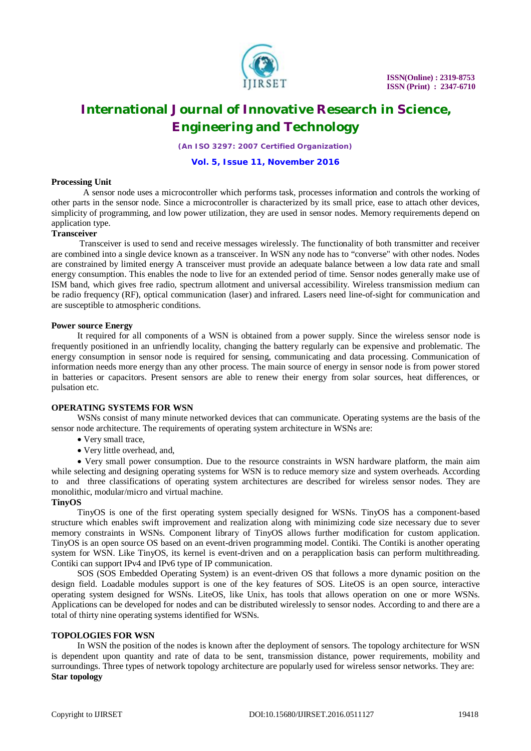

*(An ISO 3297: 2007 Certified Organization)*

# **Vol. 5, Issue 11, November 2016**

# **Processing Unit**

A sensor node uses a microcontroller which performs task, processes information and controls the working of other parts in the sensor node. Since a microcontroller is characterized by its small price, ease to attach other devices, simplicity of programming, and low power utilization, they are used in sensor nodes. Memory requirements depend on application type.

# **Transceiver**

Transceiver is used to send and receive messages wirelessly. The functionality of both transmitter and receiver are combined into a single device known as a transceiver. In WSN any node has to "converse" with other nodes. Nodes are constrained by limited energy A transceiver must provide an adequate balance between a low data rate and small energy consumption. This enables the node to live for an extended period of time. Sensor nodes generally make use of ISM band, which gives free radio, spectrum allotment and universal accessibility. Wireless transmission medium can be radio frequency (RF), optical communication (laser) and infrared. Lasers need line-of-sight for communication and are susceptible to atmospheric conditions.

# **Power source Energy**

It required for all components of a WSN is obtained from a power supply. Since the wireless sensor node is frequently positioned in an unfriendly locality, changing the battery regularly can be expensive and problematic. The energy consumption in sensor node is required for sensing, communicating and data processing. Communication of information needs more energy than any other process. The main source of energy in sensor node is from power stored in batteries or capacitors. Present sensors are able to renew their energy from solar sources, heat differences, or pulsation etc.

#### **OPERATING SYSTEMS FOR WSN**

WSNs consist of many minute networked devices that can communicate. Operating systems are the basis of the sensor node architecture. The requirements of operating system architecture in WSNs are:

- Very small trace,
- Very little overhead, and,

 Very small power consumption. Due to the resource constraints in WSN hardware platform, the main aim while selecting and designing operating systems for WSN is to reduce memory size and system overheads. According to and three classifications of operating system architectures are described for wireless sensor nodes. They are monolithic, modular/micro and virtual machine.

#### **TinyOS**

TinyOS is one of the first operating system specially designed for WSNs. TinyOS has a component-based structure which enables swift improvement and realization along with minimizing code size necessary due to sever memory constraints in WSNs. Component library of TinyOS allows further modification for custom application. TinyOS is an open source OS based on an event-driven programming model. Contiki. The Contiki is another operating system for WSN. Like TinyOS, its kernel is event-driven and on a perapplication basis can perform multithreading. Contiki can support IPv4 and IPv6 type of IP communication.

SOS (SOS Embedded Operating System) is an event-driven OS that follows a more dynamic position on the design field. Loadable modules support is one of the key features of SOS. LiteOS is an open source, interactive operating system designed for WSNs. LiteOS, like Unix, has tools that allows operation on one or more WSNs. Applications can be developed for nodes and can be distributed wirelessly to sensor nodes. According to and there are a total of thirty nine operating systems identified for WSNs.

#### **TOPOLOGIES FOR WSN**

In WSN the position of the nodes is known after the deployment of sensors. The topology architecture for WSN is dependent upon quantity and rate of data to be sent, transmission distance, power requirements, mobility and surroundings. Three types of network topology architecture are popularly used for wireless sensor networks. They are: **Star topology**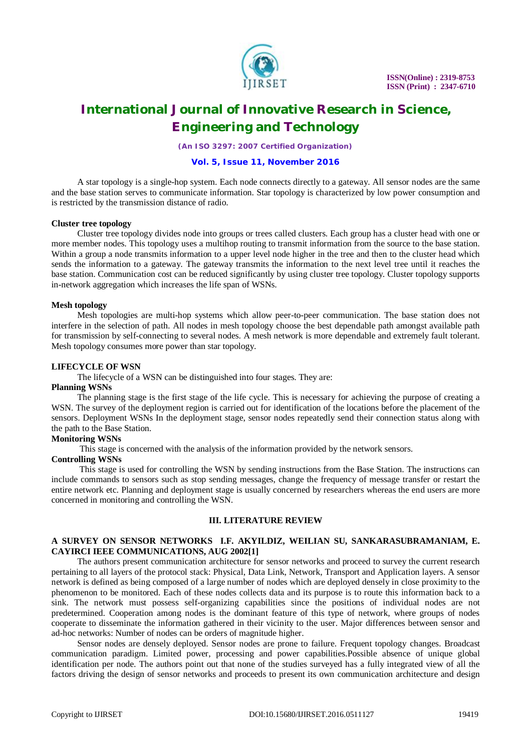

*(An ISO 3297: 2007 Certified Organization)*

# **Vol. 5, Issue 11, November 2016**

A star topology is a single-hop system. Each node connects directly to a gateway. All sensor nodes are the same and the base station serves to communicate information. Star topology is characterized by low power consumption and is restricted by the transmission distance of radio.

#### **Cluster tree topology**

Cluster tree topology divides node into groups or trees called clusters. Each group has a cluster head with one or more member nodes. This topology uses a multihop routing to transmit information from the source to the base station. Within a group a node transmits information to a upper level node higher in the tree and then to the cluster head which sends the information to a gateway. The gateway transmits the information to the next level tree until it reaches the base station. Communication cost can be reduced significantly by using cluster tree topology. Cluster topology supports in-network aggregation which increases the life span of WSNs.

#### **Mesh topology**

Mesh topologies are multi-hop systems which allow peer-to-peer communication. The base station does not interfere in the selection of path. All nodes in mesh topology choose the best dependable path amongst available path for transmission by self-connecting to several nodes. A mesh network is more dependable and extremely fault tolerant. Mesh topology consumes more power than star topology.

# **LIFECYCLE OF WSN**

The lifecycle of a WSN can be distinguished into four stages. They are:

#### **Planning WSNs**

The planning stage is the first stage of the life cycle. This is necessary for achieving the purpose of creating a WSN. The survey of the deployment region is carried out for identification of the locations before the placement of the sensors. Deployment WSNs In the deployment stage, sensor nodes repeatedly send their connection status along with the path to the Base Station.

# **Monitoring WSNs**

This stage is concerned with the analysis of the information provided by the network sensors.

# **Controlling WSNs**

This stage is used for controlling the WSN by sending instructions from the Base Station. The instructions can include commands to sensors such as stop sending messages, change the frequency of message transfer or restart the entire network etc. Planning and deployment stage is usually concerned by researchers whereas the end users are more concerned in monitoring and controlling the WSN.

# **III. LITERATURE REVIEW**

# **A SURVEY ON SENSOR NETWORKS I.F. AKYILDIZ, WEILIAN SU, SANKARASUBRAMANIAM, E. CAYIRCI IEEE COMMUNICATIONS, AUG 2002[1]**

The authors present communication architecture for sensor networks and proceed to survey the current research pertaining to all layers of the protocol stack: Physical, Data Link, Network, Transport and Application layers. A sensor network is defined as being composed of a large number of nodes which are deployed densely in close proximity to the phenomenon to be monitored. Each of these nodes collects data and its purpose is to route this information back to a sink. The network must possess self-organizing capabilities since the positions of individual nodes are not predetermined. Cooperation among nodes is the dominant feature of this type of network, where groups of nodes cooperate to disseminate the information gathered in their vicinity to the user. Major differences between sensor and ad-hoc networks: Number of nodes can be orders of magnitude higher.

Sensor nodes are densely deployed. Sensor nodes are prone to failure. Frequent topology changes. Broadcast communication paradigm. Limited power, processing and power capabilities.Possible absence of unique global identification per node. The authors point out that none of the studies surveyed has a fully integrated view of all the factors driving the design of sensor networks and proceeds to present its own communication architecture and design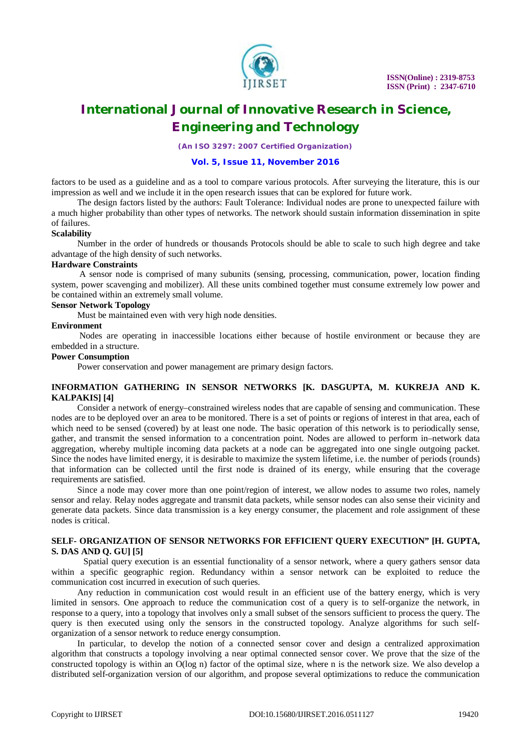

*(An ISO 3297: 2007 Certified Organization)*

# **Vol. 5, Issue 11, November 2016**

factors to be used as a guideline and as a tool to compare various protocols. After surveying the literature, this is our impression as well and we include it in the open research issues that can be explored for future work.

The design factors listed by the authors: Fault Tolerance: Individual nodes are prone to unexpected failure with a much higher probability than other types of networks. The network should sustain information dissemination in spite of failures.

# **Scalability**

Number in the order of hundreds or thousands Protocols should be able to scale to such high degree and take advantage of the high density of such networks.

#### **Hardware Constraints**

A sensor node is comprised of many subunits (sensing, processing, communication, power, location finding system, power scavenging and mobilizer). All these units combined together must consume extremely low power and be contained within an extremely small volume.

### **Sensor Network Topology**

Must be maintained even with very high node densities.

# **Environment**

Nodes are operating in inaccessible locations either because of hostile environment or because they are embedded in a structure.

# **Power Consumption**

Power conservation and power management are primary design factors.

# **INFORMATION GATHERING IN SENSOR NETWORKS [K. DASGUPTA, M. KUKREJA AND K. KALPAKIS] [4]**

Consider a network of energy–constrained wireless nodes that are capable of sensing and communication. These nodes are to be deployed over an area to be monitored. There is a set of points or regions of interest in that area, each of which need to be sensed (covered) by at least one node. The basic operation of this network is to periodically sense, gather, and transmit the sensed information to a concentration point. Nodes are allowed to perform in–network data aggregation, whereby multiple incoming data packets at a node can be aggregated into one single outgoing packet. Since the nodes have limited energy, it is desirable to maximize the system lifetime, i.e. the number of periods (rounds) that information can be collected until the first node is drained of its energy, while ensuring that the coverage requirements are satisfied.

Since a node may cover more than one point/region of interest, we allow nodes to assume two roles, namely sensor and relay. Relay nodes aggregate and transmit data packets, while sensor nodes can also sense their vicinity and generate data packets. Since data transmission is a key energy consumer, the placement and role assignment of these nodes is critical.

# **SELF- ORGANIZATION OF SENSOR NETWORKS FOR EFFICIENT QUERY EXECUTION" [H. GUPTA, S. DAS AND Q. GU] [5]**

Spatial query execution is an essential functionality of a sensor network, where a query gathers sensor data within a specific geographic region. Redundancy within a sensor network can be exploited to reduce the communication cost incurred in execution of such queries.

Any reduction in communication cost would result in an efficient use of the battery energy, which is very limited in sensors. One approach to reduce the communication cost of a query is to self-organize the network, in response to a query, into a topology that involves only a small subset of the sensors sufficient to process the query. The query is then executed using only the sensors in the constructed topology. Analyze algorithms for such selforganization of a sensor network to reduce energy consumption.

In particular, to develop the notion of a connected sensor cover and design a centralized approximation algorithm that constructs a topology involving a near optimal connected sensor cover. We prove that the size of the constructed topology is within an O(log n) factor of the optimal size, where n is the network size. We also develop a distributed self-organization version of our algorithm, and propose several optimizations to reduce the communication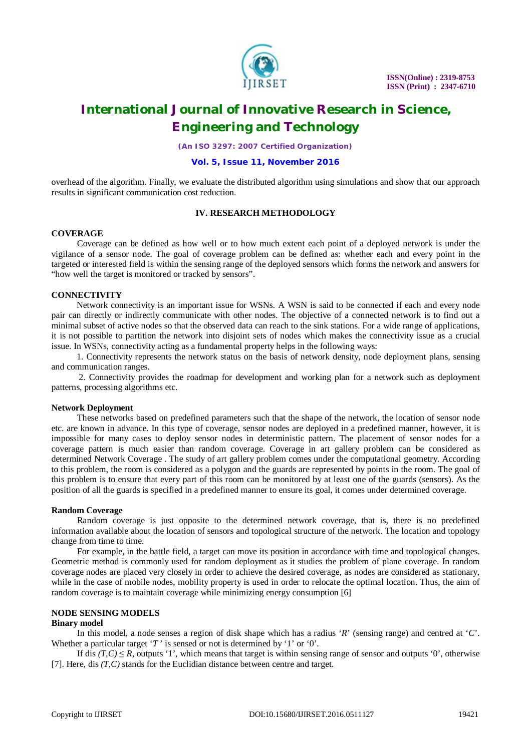

*(An ISO 3297: 2007 Certified Organization)*

# **Vol. 5, Issue 11, November 2016**

overhead of the algorithm. Finally, we evaluate the distributed algorithm using simulations and show that our approach results in significant communication cost reduction.

# **IV. RESEARCH METHODOLOGY**

#### **COVERAGE**

Coverage can be defined as how well or to how much extent each point of a deployed network is under the vigilance of a sensor node. The goal of coverage problem can be defined as: whether each and every point in the targeted or interested field is within the sensing range of the deployed sensors which forms the network and answers for "how well the target is monitored or tracked by sensors".

#### **CONNECTIVITY**

Network connectivity is an important issue for WSNs. A WSN is said to be connected if each and every node pair can directly or indirectly communicate with other nodes. The objective of a connected network is to find out a minimal subset of active nodes so that the observed data can reach to the sink stations. For a wide range of applications, it is not possible to partition the network into disjoint sets of nodes which makes the connectivity issue as a crucial issue. In WSNs, connectivity acting as a fundamental property helps in the following ways:

1. Connectivity represents the network status on the basis of network density, node deployment plans, sensing and communication ranges.

2. Connectivity provides the roadmap for development and working plan for a network such as deployment patterns, processing algorithms etc.

#### **Network Deployment**

These networks based on predefined parameters such that the shape of the network, the location of sensor node etc. are known in advance. In this type of coverage, sensor nodes are deployed in a predefined manner, however, it is impossible for many cases to deploy sensor nodes in deterministic pattern. The placement of sensor nodes for a coverage pattern is much easier than random coverage. Coverage in art gallery problem can be considered as determined Network Coverage . The study of art gallery problem comes under the computational geometry. According to this problem, the room is considered as a polygon and the guards are represented by points in the room. The goal of this problem is to ensure that every part of this room can be monitored by at least one of the guards (sensors). As the position of all the guards is specified in a predefined manner to ensure its goal, it comes under determined coverage.

#### **Random Coverage**

Random coverage is just opposite to the determined network coverage, that is, there is no predefined information available about the location of sensors and topological structure of the network. The location and topology change from time to time.

For example, in the battle field, a target can move its position in accordance with time and topological changes. Geometric method is commonly used for random deployment as it studies the problem of plane coverage. In random coverage nodes are placed very closely in order to achieve the desired coverage, as nodes are considered as stationary, while in the case of mobile nodes, mobility property is used in order to relocate the optimal location. Thus, the aim of random coverage is to maintain coverage while minimizing energy consumption [6]

# **NODE SENSING MODELS**

# **Binary model**

In this model, a node senses a region of disk shape which has a radius '*R*' (sensing range) and centred at '*C*'. Whether a particular target  $T'$  is sensed or not is determined by  $1'$  or  $0'$ .

If dis  $(T, C) \le R$ , outputs '1', which means that target is within sensing range of sensor and outputs '0', otherwise [7]. Here, dis *(T,C)* stands for the Euclidian distance between centre and target.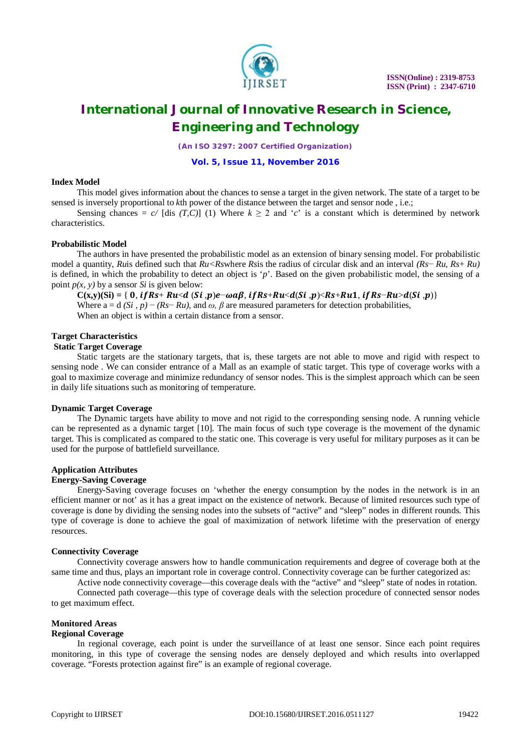

*(An ISO 3297: 2007 Certified Organization)*

#### **Vol. 5, Issue 11, November 2016**

# **Index Model**

This model gives information about the chances to sense a target in the given network. The state of a target to be sensed is inversely proportional to *k*th power of the distance between the target and sensor node , i.e.;

Sensing chances =  $c/$  [dis *(T,C)*] (1) Where  $k \ge 2$  and '*c*' is a constant which is determined by network characteristics.

#### **Probabilistic Model**

The authors in have presented the probabilistic model as an extension of binary sensing model. For probabilistic model a quantity, *Ru*is defined such that *Ru<Rs*where *Rs*is the radius of circular disk and an interval *(Rs*− *Ru, Rs*+ *Ru)*  is defined, in which the probability to detect an object is '*p*'. Based on the given probabilistic model, the sensing of a point  $p(x, y)$  by a sensor *Si* is given below:

 ${C(x,y)(Si) = \{ 0, if Rs + Ru < d(Si,p)e - \omega a\beta, if Rs + Ru < d(Si,p) < Rs + Ru1, if Rs - Ru > d(Si,p)\} }$ Where  $a = d(S_i, p) - (Rs-Ru)$ , and  $\omega$ ,  $\beta$  are measured parameters for detection probabilities,

When an object is within a certain distance from a sensor.

#### **Target Characteristics**

# **Static Target Coverage**

Static targets are the stationary targets, that is, these targets are not able to move and rigid with respect to sensing node . We can consider entrance of a Mall as an example of static target. This type of coverage works with a goal to maximize coverage and minimize redundancy of sensor nodes. This is the simplest approach which can be seen in daily life situations such as monitoring of temperature.

# **Dynamic Target Coverage**

The Dynamic targets have ability to move and not rigid to the corresponding sensing node. A running vehicle can be represented as a dynamic target [10]. The main focus of such type coverage is the movement of the dynamic target. This is complicated as compared to the static one. This coverage is very useful for military purposes as it can be used for the purpose of battlefield surveillance.

# **Application Attributes**

#### **Energy-Saving Coverage**

Energy-Saving coverage focuses on 'whether the energy consumption by the nodes in the network is in an efficient manner or not' as it has a great impact on the existence of network. Because of limited resources such type of coverage is done by dividing the sensing nodes into the subsets of "active" and "sleep" nodes in different rounds. This type of coverage is done to achieve the goal of maximization of network lifetime with the preservation of energy resources.

#### **Connectivity Coverage**

Connectivity coverage answers how to handle communication requirements and degree of coverage both at the same time and thus, plays an important role in coverage control. Connectivity coverage can be further categorized as:

Active node connectivity coverage—this coverage deals with the "active" and "sleep" state of nodes in rotation.

Connected path coverage—this type of coverage deals with the selection procedure of connected sensor nodes to get maximum effect.

# **Monitored Areas**

#### **Regional Coverage**

In regional coverage, each point is under the surveillance of at least one sensor. Since each point requires monitoring, in this type of coverage the sensing nodes are densely deployed and which results into overlapped coverage. "Forests protection against fire" is an example of regional coverage.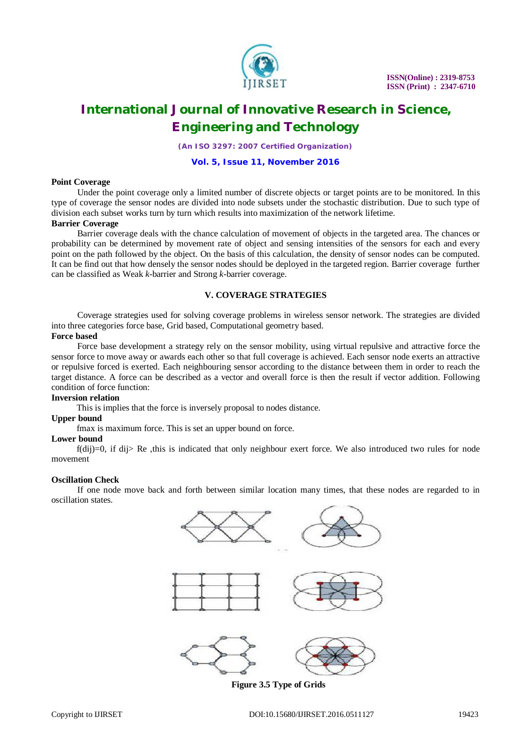

*(An ISO 3297: 2007 Certified Organization)*

# **Vol. 5, Issue 11, November 2016**

#### **Point Coverage**

Under the point coverage only a limited number of discrete objects or target points are to be monitored. In this type of coverage the sensor nodes are divided into node subsets under the stochastic distribution. Due to such type of division each subset works turn by turn which results into maximization of the network lifetime.

#### **Barrier Coverage**

Barrier coverage deals with the chance calculation of movement of objects in the targeted area. The chances or probability can be determined by movement rate of object and sensing intensities of the sensors for each and every point on the path followed by the object. On the basis of this calculation, the density of sensor nodes can be computed. It can be find out that how densely the sensor nodes should be deployed in the targeted region. Barrier coverage further can be classified as Weak *k*-barrier and Strong *k*-barrier coverage.

# **V. COVERAGE STRATEGIES**

Coverage strategies used for solving coverage problems in wireless sensor network. The strategies are divided into three categories force base, Grid based, Computational geometry based.

#### **Force based**

Force base development a strategy rely on the sensor mobility, using virtual repulsive and attractive force the sensor force to move away or awards each other so that full coverage is achieved. Each sensor node exerts an attractive or repulsive forced is exerted. Each neighbouring sensor according to the distance between them in order to reach the target distance. A force can be described as a vector and overall force is then the result if vector addition. Following condition of force function:

#### **Inversion relation**

This is implies that the force is inversely proposal to nodes distance.

#### **Upper bound**

fmax is maximum force. This is set an upper bound on force.

#### **Lower bound**

f(dij)=0, if dij> Re ,this is indicated that only neighbour exert force. We also introduced two rules for node movement

#### **Oscillation Check**

If one node move back and forth between similar location many times, that these nodes are regarded to in oscillation states.



**Figure 3.5 Type of Grids**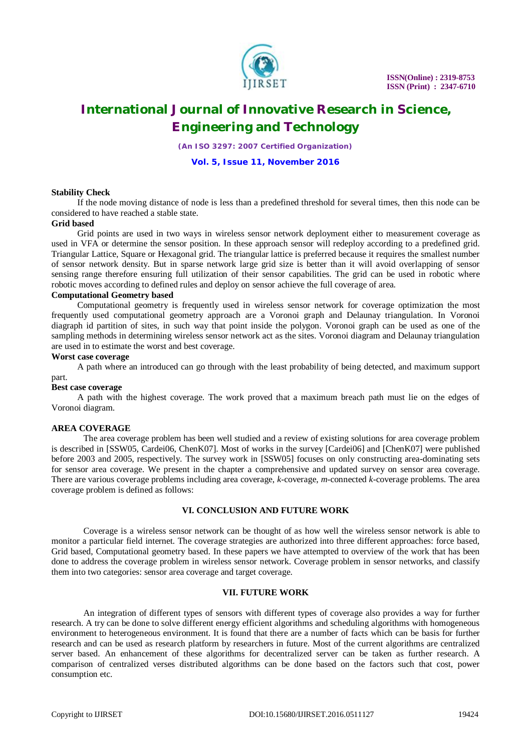

*(An ISO 3297: 2007 Certified Organization)*

#### **Vol. 5, Issue 11, November 2016**

# **Stability Check**

If the node moving distance of node is less than a predefined threshold for several times, then this node can be considered to have reached a stable state.

# **Grid based**

Grid points are used in two ways in wireless sensor network deployment either to measurement coverage as used in VFA or determine the sensor position. In these approach sensor will redeploy according to a predefined grid. Triangular Lattice, Square or Hexagonal grid. The triangular lattice is preferred because it requires the smallest number of sensor network density. But in sparse network large grid size is better than it will avoid overlapping of sensor sensing range therefore ensuring full utilization of their sensor capabilities. The grid can be used in robotic where robotic moves according to defined rules and deploy on sensor achieve the full coverage of area.

#### **Computational Geometry based**

Computational geometry is frequently used in wireless sensor network for coverage optimization the most frequently used computational geometry approach are a Voronoi graph and Delaunay triangulation. In Voronoi diagraph id partition of sites, in such way that point inside the polygon. Voronoi graph can be used as one of the sampling methods in determining wireless sensor network act as the sites. Voronoi diagram and Delaunay triangulation are used in to estimate the worst and best coverage.

#### **Worst case coverage**

A path where an introduced can go through with the least probability of being detected, and maximum support

# part.

#### **Best case coverage**

A path with the highest coverage. The work proved that a maximum breach path must lie on the edges of Voronoi diagram.

#### **AREA COVERAGE**

The area coverage problem has been well studied and a review of existing solutions for area coverage problem is described in [SSW05, Cardei06, ChenK07]. Most of works in the survey [Cardei06] and [ChenK07] were published before 2003 and 2005, respectively. The survey work in [SSW05] focuses on only constructing area-dominating sets for sensor area coverage. We present in the chapter a comprehensive and updated survey on sensor area coverage. There are various coverage problems including area coverage, *k*-coverage, *m*-connected *k*-coverage problems. The area coverage problem is defined as follows:

#### **VI. CONCLUSION AND FUTURE WORK**

Coverage is a wireless sensor network can be thought of as how well the wireless sensor network is able to monitor a particular field internet. The coverage strategies are authorized into three different approaches: force based, Grid based, Computational geometry based. In these papers we have attempted to overview of the work that has been done to address the coverage problem in wireless sensor network. Coverage problem in sensor networks, and classify them into two categories: sensor area coverage and target coverage.

# **VII. FUTURE WORK**

An integration of different types of sensors with different types of coverage also provides a way for further research. A try can be done to solve different energy efficient algorithms and scheduling algorithms with homogeneous environment to heterogeneous environment. It is found that there are a number of facts which can be basis for further research and can be used as research platform by researchers in future. Most of the current algorithms are centralized server based. An enhancement of these algorithms for decentralized server can be taken as further research. A comparison of centralized verses distributed algorithms can be done based on the factors such that cost, power consumption etc.